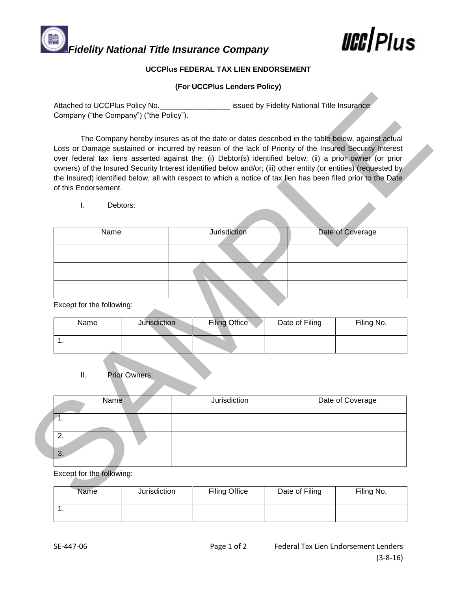## *Fidelity National Title Insurance Company lift* **lift light**

## **UCCPlus FEDERAL TAX LIEN ENDORSEMENT**

## **(For UCCPlus Lenders Policy)**

| Attached to UCCPlus Policy No.<br>Company ("the Company") ("the Policy"). |                      |                                                                                                                                                                                                                                                                                                                                                                                                                                                                                                                                                               | issued by Fidelity National Title Insurance |                  |  |
|---------------------------------------------------------------------------|----------------------|---------------------------------------------------------------------------------------------------------------------------------------------------------------------------------------------------------------------------------------------------------------------------------------------------------------------------------------------------------------------------------------------------------------------------------------------------------------------------------------------------------------------------------------------------------------|---------------------------------------------|------------------|--|
| of this Endorsement.                                                      |                      | The Company hereby insures as of the date or dates described in the table below, against actual<br>Loss or Damage sustained or incurred by reason of the lack of Priority of the Insured Security Interest<br>over federal tax liens asserted against the: (i) Debtor(s) identified below; (ii) a prior owner (or prior<br>owners) of the Insured Security Interest identified below and/or; (iii) other entity (or entities) (requested by<br>the Insured) identified below, all with respect to which a notice of tax lien has been filed prior to the Date |                                             |                  |  |
| I.                                                                        | Debtors:             |                                                                                                                                                                                                                                                                                                                                                                                                                                                                                                                                                               |                                             |                  |  |
| Name                                                                      |                      | <b>Jurisdiction</b>                                                                                                                                                                                                                                                                                                                                                                                                                                                                                                                                           |                                             | Date of Coverage |  |
|                                                                           |                      |                                                                                                                                                                                                                                                                                                                                                                                                                                                                                                                                                               |                                             |                  |  |
|                                                                           |                      |                                                                                                                                                                                                                                                                                                                                                                                                                                                                                                                                                               |                                             |                  |  |
| Except for the following:<br>Name                                         | <b>Jurisdiction</b>  | <b>Filing Office</b>                                                                                                                                                                                                                                                                                                                                                                                                                                                                                                                                          | Date of Filing                              | Filing No.       |  |
|                                                                           |                      |                                                                                                                                                                                                                                                                                                                                                                                                                                                                                                                                                               |                                             |                  |  |
| 1.                                                                        |                      |                                                                                                                                                                                                                                                                                                                                                                                                                                                                                                                                                               |                                             |                  |  |
| Ш.                                                                        | <b>Prior Owners:</b> |                                                                                                                                                                                                                                                                                                                                                                                                                                                                                                                                                               |                                             |                  |  |
| Name<br>1.                                                                |                      | Jurisdiction                                                                                                                                                                                                                                                                                                                                                                                                                                                                                                                                                  |                                             | Date of Coverage |  |
| 2.                                                                        |                      |                                                                                                                                                                                                                                                                                                                                                                                                                                                                                                                                                               |                                             |                  |  |
| $\overline{3}$ .<br>Except for the following:                             |                      |                                                                                                                                                                                                                                                                                                                                                                                                                                                                                                                                                               |                                             |                  |  |

| Name | Jurisdiction | <b>Filing Office</b> | Date of Filing | Filing No. |
|------|--------------|----------------------|----------------|------------|
|      |              |                      |                |            |

| Name    | Jurisdiction | Date of Coverage |
|---------|--------------|------------------|
|         |              |                  |
| ົ<br>۷. |              |                  |
|         |              |                  |

| Name | Jurisdiction | <b>Filing Office</b> | Date of Filing | Filing No. |
|------|--------------|----------------------|----------------|------------|
| . .  |              |                      |                |            |